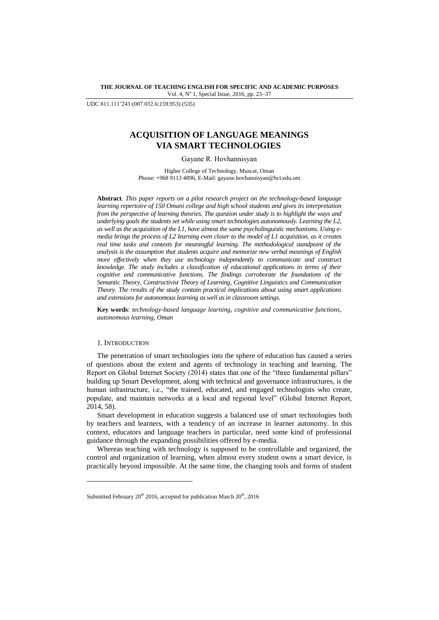**THE JOURNAL OF TEACHING ENGLISH FOR SPECIFIC AND ACADEMIC PURPOSES** Vol. 4, Nº 1, Special Issue, 2016, pp. 23-37

UDC 811.111"243:(007.032.6:159.953) (535)

# **ACQUISITION OF LANGUAGE MEANINGS VIA SMART TECHNOLOGIES**

Gayane R. Hovhannisyan

Higher College of Technology, Muscat, Oman Phone: +968 9113 4896, E-Mail: gayane.hovhannisyan@hct.edu.om

**Abstract***. This paper reports on a pilot research project on the technology-based language learning repertoire of 150 Omani college and high school students and gives its interpretation from the perspective of learning theories. The question under study is to highlight the ways and underlying goals the students set while using smart technologies autonomously. Learning the L2, as well as the acquisition of the L1, have almost the same psycholinguistic mechanisms. Using emedia brings the process of L2 learning even closer to the model of L1 acquisition, as it creates real time tasks and contexts for meaningful learning. The methodological standpoint of the analysis is the assumption that students acquire and memorize new verbal meanings of English more effectively when they use technology independently to communicate and construct knowledge. The study includes a classification of educational applications in terms of their cognitive and communicative functions. The findings corroborate the foundations of the Semantic Theory, Constructivist Theory of Learning, Cognitive Linguistics and Communication Theory. The results of the study contain practical implications about using smart applications and extensions for autonomous learning as well as in classroom settings.*

**Key words**: *technology-based language learning, cognitive and communicative functions, autonomous learning, Oman*

#### 1. INTRODUCTION

l

The penetration of smart technologies into the sphere of education has caused a series of questions about the extent and agents of technology in teaching and learning. The Report on Global Internet Society (2014) states that one of the "three fundamental pillars" building up Smart Development, along with technical and governance infrastructures, is the human infrastructure, i.e., "the trained, educated, and engaged technologists who create, populate, and maintain networks at a local and regional level" (Global Internet Report, 2014, 58).

Smart development in education suggests a balanced use of smart technologies both by teachers and learners, with a tendency of an increase in learner autonomy. In this context, educators and language teachers in particular, need some kind of professional guidance through the expanding possibilities offered by e-media.

Whereas teaching with technology is supposed to be controllable and organized, the control and organization of learning, when almost every student owns a smart device, is practically beyond impossible. At the same time, the changing tools and forms of student

Submitted February  $20<sup>th</sup>$  2016, accepted for publication March  $20<sup>th</sup>$ , 2016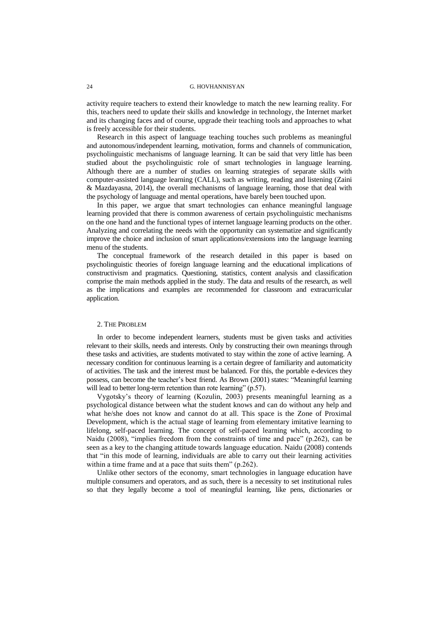activity require teachers to extend their knowledge to match the new learning reality. For this, teachers need to update their skills and knowledge in technology, the Internet market and its changing faces and of course, upgrade their teaching tools and approaches to what is freely accessible for their students.

Research in this aspect of language teaching touches such problems as meaningful and autonomous/independent learning, motivation, forms and channels of communication, psycholinguistic mechanisms of language learning. It can be said that very little has been studied about the psycholinguistic role of smart technologies in language learning. Although there are a number of studies on learning strategies of separate skills with computer-assisted language learning (CALL), such as writing, reading and listening (Zaini & Mazdayasna, 2014), the overall mechanisms of language learning, those that deal with the psychology of language and mental operations, have barely been touched upon.

In this paper, we argue that smart technologies can enhance meaningful language learning provided that there is common awareness of certain psycholinguistic mechanisms on the one hand and the functional types of internet language learning products on the other. Analyzing and correlating the needs with the opportunity can systematize and significantly improve the choice and inclusion of smart applications/extensions into the language learning menu of the students.

The conceptual framework of the research detailed in this paper is based on psycholinguistic theories of foreign language learning and the educational implications of constructivism and pragmatics. Questioning, statistics, content analysis and classification comprise the main methods applied in the study. The data and results of the research, as well as the implications and examples are recommended for classroom and extracurricular application.

#### 2. THE PROBLEM

In order to become independent learners, students must be given tasks and activities relevant to their skills, needs and interests. Only by constructing their own meanings through these tasks and activities, are students motivated to stay within the zone of active learning. A necessary condition for continuous learning is a certain degree of familiarity and automaticity of activities. The task and the interest must be balanced. For this, the portable e-devices they possess, can become the teacher"s best friend. As Brown (2001) states: "Meaningful learning will lead to better long-term retention than rote learning" (p.57).

Vygotsky"s theory of learning (Kozulin, 2003) presents meaningful learning as a psychological distance between what the student knows and can do without any help and what he/she does not know and cannot do at all. This space is the Zone of Proximal Development, which is the actual stage of learning from elementary imitative learning to lifelong, self-paced learning. The concept of self-paced learning which, according to Naidu (2008), "implies freedom from the constraints of time and pace" (p.262), can be seen as a key to the changing attitude towards language education. Naidu (2008) contends that "in this mode of learning, individuals are able to carry out their learning activities within a time frame and at a pace that suits them" (p.262).

Unlike other sectors of the economy, smart technologies in language education have multiple consumers and operators, and as such, there is a necessity to set institutional rules so that they legally become a tool of meaningful learning, like pens, dictionaries or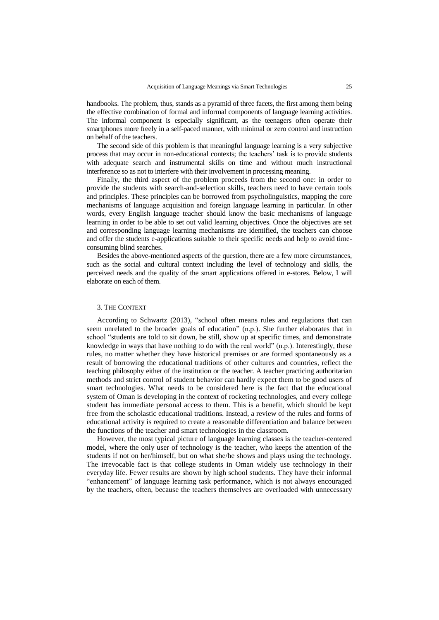handbooks. The problem, thus, stands as a pyramid of three facets, the first among them being the effective combination of formal and informal components of language learning activities. The informal component is especially significant, as the teenagers often operate their smartphones more freely in a self-paced manner, with minimal or zero control and instruction on behalf of the teachers.

The second side of this problem is that meaningful language learning is a very subjective process that may occur in non-educational contexts; the teachers' task is to provide students with adequate search and instrumental skills on time and without much instructional interference so as not to interfere with their involvement in processing meaning.

Finally, the third aspect of the problem proceeds from the second one: in order to provide the students with search-and-selection skills, teachers need to have certain tools and principles. These principles can be borrowed from psycholinguistics, mapping the core mechanisms of language acquisition and foreign language learning in particular. In other words, every English language teacher should know the basic mechanisms of language learning in order to be able to set out valid learning objectives. Once the objectives are set and corresponding language learning mechanisms are identified, the teachers can choose and offer the students e-applications suitable to their specific needs and help to avoid timeconsuming blind searches.

Besides the above-mentioned aspects of the question, there are a few more circumstances, such as the social and cultural context including the level of technology and skills, the perceived needs and the quality of the smart applications offered in e-stores. Below, I will elaborate on each of them.

#### 3. THE CONTEXT

According to Schwartz (2013), "school often means rules and regulations that can seem unrelated to the broader goals of education" (n.p.). She further elaborates that in school "students are told to sit down, be still, show up at specific times, and demonstrate knowledge in ways that have nothing to do with the real world" (n.p.). Interestingly, these rules, no matter whether they have historical premises or are formed spontaneously as a result of borrowing the educational traditions of other cultures and countries, reflect the teaching philosophy either of the institution or the teacher. A teacher practicing authoritarian methods and strict control of student behavior can hardly expect them to be good users of smart technologies. What needs to be considered here is the fact that the educational system of Oman is developing in the context of rocketing technologies, and every college student has immediate personal access to them. This is a benefit, which should be kept free from the scholastic educational traditions. Instead, a review of the rules and forms of educational activity is required to create a reasonable differentiation and balance between the functions of the teacher and smart technologies in the classroom.

However, the most typical picture of language learning classes is the teacher-centered model, where the only user of technology is the teacher, who keeps the attention of the students if not on her/himself, but on what she/he shows and plays using the technology. The irrevocable fact is that college students in Oman widely use technology in their everyday life. Fewer results are shown by high school students. They have their informal "enhancement" of language learning task performance, which is not always encouraged by the teachers, often, because the teachers themselves are overloaded with unnecessary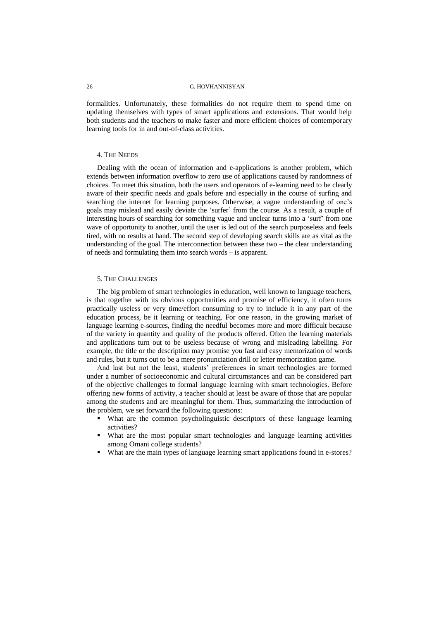formalities. Unfortunately, these formalities do not require them to spend time on updating themselves with types of smart applications and extensions. That would help both students and the teachers to make faster and more efficient choices of contemporary learning tools for in and out-of-class activities.

#### 4. THE NEEDS

Dealing with the ocean of information and e-applications is another problem, which extends between information overflow to zero use of applications caused by randomness of choices. To meet this situation, both the users and operators of e-learning need to be clearly aware of their specific needs and goals before and especially in the course of surfing and searching the internet for learning purposes. Otherwise, a vague understanding of one's goals may mislead and easily deviate the "surfer" from the course. As a result, a couple of interesting hours of searching for something vague and unclear turns into a "surf" from one wave of opportunity to another, until the user is led out of the search purposeless and feels tired, with no results at hand. The second step of developing search skills are as vital as the understanding of the goal. The interconnection between these two – the clear understanding of needs and formulating them into search words – is apparent.

#### 5. THE CHALLENGES

The big problem of smart technologies in education, well known to language teachers, is that together with its obvious opportunities and promise of efficiency, it often turns practically useless or very time/effort consuming to try to include it in any part of the education process, be it learning or teaching. For one reason, in the growing market of language learning e-sources, finding the needful becomes more and more difficult because of the variety in quantity and quality of the products offered. Often the learning materials and applications turn out to be useless because of wrong and misleading labelling. For example, the title or the description may promise you fast and easy memorization of words and rules, but it turns out to be a mere pronunciation drill or letter memorization game.

And last but not the least, students' preferences in smart technologies are formed under a number of socioeconomic and cultural circumstances and can be considered part of the objective challenges to formal language learning with smart technologies. Before offering new forms of activity, a teacher should at least be aware of those that are popular among the students and are meaningful for them. Thus, summarizing the introduction of the problem, we set forward the following questions:

- What are the common psycholinguistic descriptors of these language learning activities?
- What are the most popular smart technologies and language learning activities among Omani college students?
- What are the main types of language learning smart applications found in e-stores?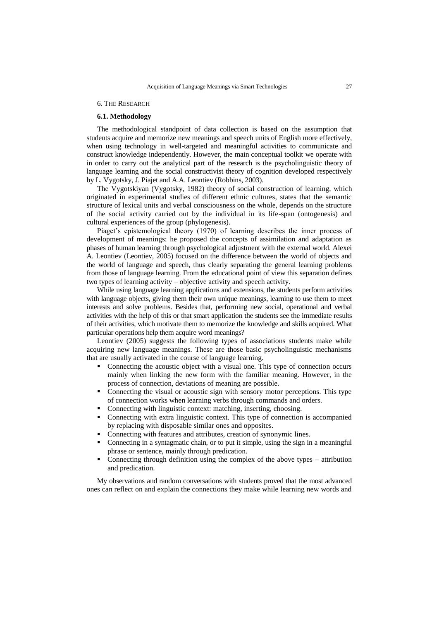## 6. THE RESEARCH

# **6.1. Methodology**

The methodological standpoint of data collection is based on the assumption that students acquire and memorize new meanings and speech units of English more effectively, when using technology in well-targeted and meaningful activities to communicate and construct knowledge independently. However, the main conceptual toolkit we operate with in order to carry out the analytical part of the research is the psycholinguistic theory of language learning and the social constructivist theory of cognition developed respectively by L. Vygotsky, J. Piajet and A.A. Leontiev (Robbins, 2003).

The Vygotskiyan (Vygotsky, 1982) theory of social construction of learning, which originated in experimental studies of different ethnic cultures, states that the semantic structure of lexical units and verbal consciousness on the whole, depends on the structure of the social activity carried out by the individual in its life-span (ontogenesis) and cultural experiences of the group (phylogenesis).

Piaget's epistemological theory (1970) of learning describes the inner process of development of meanings: he proposed the concepts of assimilation and adaptation as phases of human learning through psychological adjustment with the external world. Alexei A. Leontiev (Leontiev, 2005) focused on the difference between the world of objects and the world of language and speech, thus clearly separating the general learning problems from those of language learning. From the educational point of view this separation defines two types of learning activity – objective activity and speech activity.

While using language learning applications and extensions, the students perform activities with language objects, giving them their own unique meanings, learning to use them to meet interests and solve problems. Besides that, performing new social, operational and verbal activities with the help of this or that smart application the students see the immediate results of their activities, which motivate them to memorize the knowledge and skills acquired. What particular operations help them acquire word meanings?

Leontiev (2005) suggests the following types of associations students make while acquiring new language meanings. These are those basic psycholinguistic mechanisms that are usually activated in the course of language learning.

- Connecting the acoustic object with a visual one. This type of connection occurs mainly when linking the new form with the familiar meaning. However, in the process of connection, deviations of meaning are possible.
- Connecting the visual or acoustic sign with sensory motor perceptions. This type of connection works when learning verbs through commands and orders.
- Connecting with linguistic context: matching, inserting, choosing.
- Connecting with extra linguistic context. This type of connection is accompanied by replacing with disposable similar ones and opposites.
- Connecting with features and attributes, creation of synonymic lines.
- Connecting in a syntagmatic chain, or to put it simple, using the sign in a meaningful phrase or sentence, mainly through predication.
- Connecting through definition using the complex of the above types attribution and predication.

My observations and random conversations with students proved that the most advanced ones can reflect on and explain the connections they make while learning new words and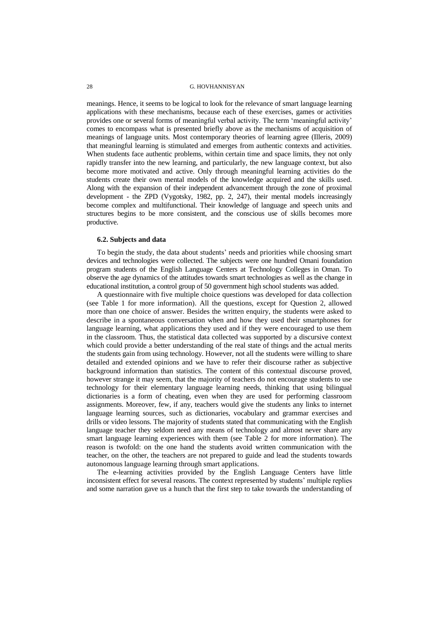meanings. Hence, it seems to be logical to look for the relevance of smart language learning applications with these mechanisms, because each of these exercises, games or activities provides one or several forms of meaningful verbal activity. The term "meaningful activity" comes to encompass what is presented briefly above as the mechanisms of acquisition of meanings of language units. Most contemporary theories of learning agree (Illeris, 2009) that meaningful learning is stimulated and emerges from authentic contexts and activities. When students face authentic problems, within certain time and space limits, they not only rapidly transfer into the new learning, and particularly, the new language context, but also become more motivated and active. Only through meaningful learning activities do the students create their own mental models of the knowledge acquired and the skills used. Along with the expansion of their independent advancement through the zone of proximal development - the ZPD (Vygotsky, 1982, pp. 2, 247), their mental models increasingly become complex and multifunctional. Their knowledge of language and speech units and structures begins to be more consistent, and the conscious use of skills becomes more productive.

#### **6.2. Subjects and data**

To begin the study, the data about students" needs and priorities while choosing smart devices and technologies were collected. The subjects were one hundred Omani foundation program students of the English Language Centers at Technology Colleges in Oman. To observe the age dynamics of the attitudes towards smart technologies as well as the change in educational institution, a control group of 50 government high school students was added.

A questionnaire with five multiple choice questions was developed for data collection (see Table 1 for more information). All the questions, except for Question 2, allowed more than one choice of answer. Besides the written enquiry, the students were asked to describe in a spontaneous conversation when and how they used their smartphones for language learning, what applications they used and if they were encouraged to use them in the classroom. Thus, the statistical data collected was supported by a discursive context which could provide a better understanding of the real state of things and the actual merits the students gain from using technology. However, not all the students were willing to share detailed and extended opinions and we have to refer their discourse rather as subjective background information than statistics. The content of this contextual discourse proved, however strange it may seem, that the majority of teachers do not encourage students to use technology for their elementary language learning needs, thinking that using bilingual dictionaries is a form of cheating, even when they are used for performing classroom assignments. Moreover, few, if any, teachers would give the students any links to internet language learning sources, such as dictionaries, vocabulary and grammar exercises and drills or video lessons. The majority of students stated that communicating with the English language teacher they seldom need any means of technology and almost never share any smart language learning experiences with them (see Table 2 for more information). The reason is twofold: on the one hand the students avoid written communication with the teacher, on the other, the teachers are not prepared to guide and lead the students towards autonomous language learning through smart applications.

The e-learning activities provided by the English Language Centers have little inconsistent effect for several reasons. The context represented by students" multiple replies and some narration gave us a hunch that the first step to take towards the understanding of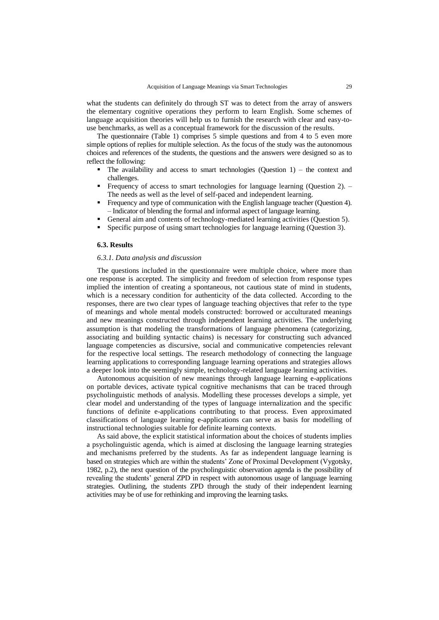what the students can definitely do through ST was to detect from the array of answers the elementary cognitive operations they perform to learn English. Some schemes of language acquisition theories will help us to furnish the research with clear and easy-touse benchmarks, as well as a conceptual framework for the discussion of the results.

The questionnaire (Table 1) comprises 5 simple questions and from 4 to 5 even more simple options of replies for multiple selection. As the focus of the study was the autonomous choices and references of the students, the questions and the answers were designed so as to reflect the following:

- The availability and access to smart technologies (Question  $1$ ) the context and challenges.
- Frequency of access to smart technologies for language learning (Question 2). The needs as well as the level of self-paced and independent learning.
- Frequency and type of communication with the English language teacher (Question 4). – Indicator of blending the formal and informal aspect of language learning.
- General aim and contents of technology-mediated learning activities (Question 5).
- Specific purpose of using smart technologies for language learning (Question 3).

#### **6.3. Results**

#### *6.3.1. Data analysis and discussion*

The questions included in the questionnaire were multiple choice, where more than one response is accepted. The simplicity and freedom of selection from response types implied the intention of creating a spontaneous, not cautious state of mind in students, which is a necessary condition for authenticity of the data collected. According to the responses, there are two clear types of language teaching objectives that refer to the type of meanings and whole mental models constructed: borrowed or acculturated meanings and new meanings constructed through independent learning activities. The underlying assumption is that modeling the transformations of language phenomena (categorizing, associating and building syntactic chains) is necessary for constructing such advanced language competencies as discursive, social and communicative competencies relevant for the respective local settings. The research methodology of connecting the language learning applications to corresponding language learning operations and strategies allows a deeper look into the seemingly simple, technology-related language learning activities.

Autonomous acquisition of new meanings through language learning e-applications on portable devices, activate typical cognitive mechanisms that can be traced through psycholinguistic methods of analysis. Modelling these processes develops a simple, yet clear model and understanding of the types of language internalization and the specific functions of definite e-applications contributing to that process. Even approximated classifications of language learning e-applications can serve as basis for modelling of instructional technologies suitable for definite learning contexts.

As said above, the explicit statistical information about the choices of students implies a psycholinguistic agenda, which is aimed at disclosing the language learning strategies and mechanisms preferred by the students. As far as independent language learning is based on strategies which are within the students" Zone of Proximal Development (Vygotsky, 1982, p.2), the next question of the psycholinguistic observation agenda is the possibility of revealing the students" general ZPD in respect with autonomous usage of language learning strategies. Outlining, the students ZPD through the study of their independent learning activities may be of use for rethinking and improving the learning tasks.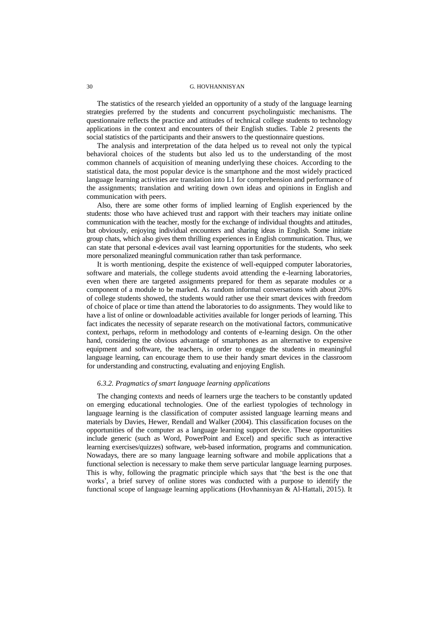The statistics of the research yielded an opportunity of a study of the language learning strategies preferred by the students and concurrent psycholinguistic mechanisms. The questionnaire reflects the practice and attitudes of technical college students to technology applications in the context and encounters of their English studies. Table 2 presents the social statistics of the participants and their answers to the questionnaire questions.

The analysis and interpretation of the data helped us to reveal not only the typical behavioral choices of the students but also led us to the understanding of the most common channels of acquisition of meaning underlying these choices. According to the statistical data, the most popular device is the smartphone and the most widely practiced language learning activities are translation into L1 for comprehension and performance of the assignments; translation and writing down own ideas and opinions in English and communication with peers.

Also, there are some other forms of implied learning of English experienced by the students: those who have achieved trust and rapport with their teachers may initiate online communication with the teacher, mostly for the exchange of individual thoughts and attitudes, but obviously, enjoying individual encounters and sharing ideas in English. Some initiate group chats, which also gives them thrilling experiences in English communication. Thus, we can state that personal e-devices avail vast learning opportunities for the students, who seek more personalized meaningful communication rather than task performance.

It is worth mentioning, despite the existence of well-equipped computer laboratories, software and materials, the college students avoid attending the e-learning laboratories, even when there are targeted assignments prepared for them as separate modules or a component of a module to be marked. As random informal conversations with about 20% of college students showed, the students would rather use their smart devices with freedom of choice of place or time than attend the laboratories to do assignments. They would like to have a list of online or downloadable activities available for longer periods of learning. This fact indicates the necessity of separate research on the motivational factors, communicative context, perhaps, reform in methodology and contents of e-learning design. On the other hand, considering the obvious advantage of smartphones as an alternative to expensive equipment and software, the teachers, in order to engage the students in meaningful language learning, can encourage them to use their handy smart devices in the classroom for understanding and constructing, evaluating and enjoying English.

#### *6.3.2. Pragmatics of smart language learning applications*

The changing contexts and needs of learners urge the teachers to be constantly updated on emerging educational technologies. One of the earliest typologies of technology in language learning is the classification of computer assisted language learning means and materials by Davies, Hewer, Rendall and Walker (2004). This classification focuses on the opportunities of the computer as a language learning support device. These opportunities include generic (such as Word, PowerPoint and Excel) and specific such as interactive learning exercises/quizzes) software, web-based information, programs and communication. Nowadays, there are so many language learning software and mobile applications that a functional selection is necessary to make them serve particular language learning purposes. This is why, following the pragmatic principle which says that "the best is the one that works", a brief survey of online stores was conducted with a purpose to identify the functional scope of language learning applications (Hovhannisyan & Al-Hattali, 2015). It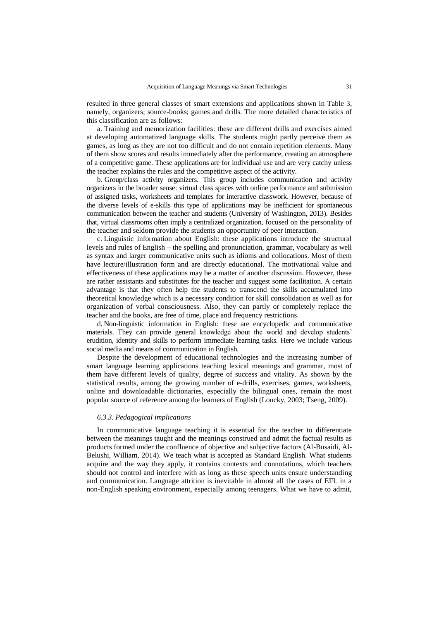resulted in three general classes of smart extensions and applications shown in Table 3, namely, organizers; source-books; games and drills. The more detailed characteristics of this classification are as follows:

a. Training and memorization facilities: these are different drills and exercises aimed at developing automatized language skills. The students might partly perceive them as games, as long as they are not too difficult and do not contain repetition elements. Many of them show scores and results immediately after the performance, creating an atmosphere of a competitive game. These applications are for individual use and are very catchy unless the teacher explains the rules and the competitive aspect of the activity.

b. Group/class activity organizers. This group includes communication and activity organizers in the broader sense: virtual class spaces with online performance and submission of assigned tasks, worksheets and templates for interactive classwork. However, because of the diverse levels of e-skills this type of applications may be inefficient for spontaneous communication between the teacher and students (University of Washington, 2013). Besides that, virtual classrooms often imply a centralized organization, focused on the personality of the teacher and seldom provide the students an opportunity of peer interaction.

c. Linguistic information about English: these applications introduce the structural levels and rules of English – the spelling and pronunciation, grammar, vocabulary as well as syntax and larger communicative units such as idioms and collocations. Most of them have lecture/illustration form and are directly educational. The motivational value and effectiveness of these applications may be a matter of another discussion. However, these are rather assistants and substitutes for the teacher and suggest some facilitation. A certain advantage is that they often help the students to transcend the skills accumulated into theoretical knowledge which is a necessary condition for skill consolidation as well as for organization of verbal consciousness. Also, they can partly or completely replace the teacher and the books, are free of time, place and frequency restrictions.

d. Non-linguistic information in English: these are encyclopedic and communicative materials. They can provide general knowledge about the world and develop students" erudition, identity and skills to perform immediate learning tasks. Here we include various social media and means of communication in English.

Despite the development of educational technologies and the increasing number of smart language learning applications teaching lexical meanings and grammar, most of them have different levels of quality, degree of success and vitality. As shown by the statistical results, among the growing number of e-drills, exercises, games, worksheets, online and downloadable dictionaries, especially the bilingual ones, remain the most popular source of reference among the learners of English (Loucky, 2003; Tseng, 2009).

### *6.3.3. Pedagogical implications*

In communicative language teaching it is essential for the teacher to differentiate between the meanings taught and the meanings construed and admit the factual results as products formed under the confluence of objective and subjective factors (Al-Busaidi, Al-Belushi, William, 2014). We teach what is accepted as Standard English. What students acquire and the way they apply, it contains contexts and connotations, which teachers should not control and interfere with as long as these speech units ensure understanding and communication. Language attrition is inevitable in almost all the cases of EFL in a non-English speaking environment, especially among teenagers. What we have to admit,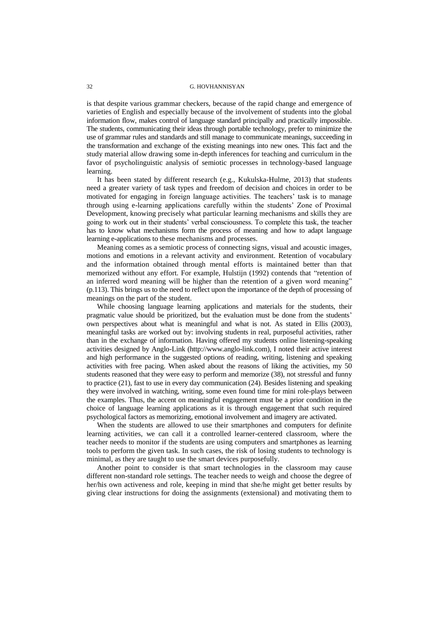is that despite various grammar checkers, because of the rapid change and emergence of varieties of English and especially because of the involvement of students into the global information flow, makes control of language standard principally and practically impossible. The students, communicating their ideas through portable technology, prefer to minimize the use of grammar rules and standards and still manage to communicate meanings, succeeding in the transformation and exchange of the existing meanings into new ones. This fact and the study material allow drawing some in-depth inferences for teaching and curriculum in the favor of psycholinguistic analysis of semiotic processes in technology-based language learning.

It has been stated by different research (e.g., Kukulska-Hulme, 2013) that students need a greater variety of task types and freedom of decision and choices in order to be motivated for engaging in foreign language activities. The teachers" task is to manage through using e-learning applications carefully within the students" Zone of Proximal Development, knowing precisely what particular learning mechanisms and skills they are going to work out in their students" verbal consciousness. To complete this task, the teacher has to know what mechanisms form the process of meaning and how to adapt language learning e-applications to these mechanisms and processes.

Meaning comes as a semiotic process of connecting signs, visual and acoustic images, motions and emotions in a relevant activity and environment. Retention of vocabulary and the information obtained through mental efforts is maintained better than that memorized without any effort. For example, Hulstijn (1992) contends that "retention of an inferred word meaning will be higher than the retention of a given word meaning" (p.113). This brings us to the need to reflect upon the importance of the depth of processing of meanings on the part of the student.

While choosing language learning applications and materials for the students, their pragmatic value should be prioritized, but the evaluation must be done from the students" own perspectives about what is meaningful and what is not. As stated in Ellis (2003), meaningful tasks are worked out by: involving students in real, purposeful activities, rather than in the exchange of information. Having offered my students online listening-speaking activities designed by Anglo-Link (http://www.anglo-link.com), I noted their active interest and high performance in the suggested options of reading, writing, listening and speaking activities with free pacing. When asked about the reasons of liking the activities, my 50 students reasoned that they were easy to perform and memorize (38), not stressful and funny to practice (21), fast to use in every day communication (24). Besides listening and speaking they were involved in watching, writing, some even found time for mini role-plays between the examples. Thus, the accent on meaningful engagement must be a prior condition in the choice of language learning applications as it is through engagement that such required psychological factors as memorizing, emotional involvement and imagery are activated.

When the students are allowed to use their smartphones and computers for definite learning activities, we can call it a controlled learner-centered classroom, where the teacher needs to monitor if the students are using computers and smartphones as learning tools to perform the given task. In such cases, the risk of losing students to technology is minimal, as they are taught to use the smart devices purposefully.

Another point to consider is that smart technologies in the classroom may cause different non-standard role settings. The teacher needs to weigh and choose the degree of her/his own activeness and role, keeping in mind that she/he might get better results by giving clear instructions for doing the assignments (extensional) and motivating them to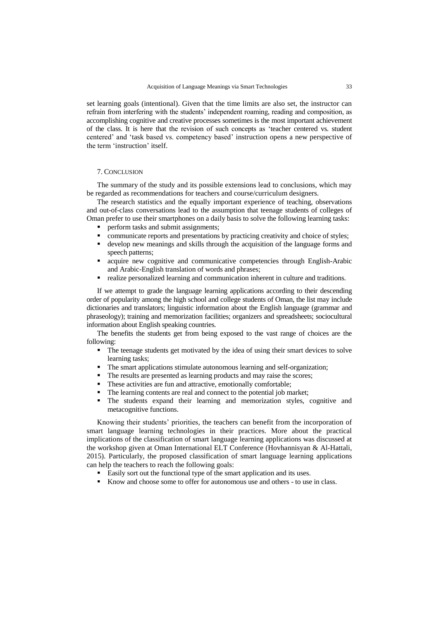set learning goals (intentional). Given that the time limits are also set, the instructor can refrain from interfering with the students" independent roaming, reading and composition, as accomplishing cognitive and creative processes sometimes is the most important achievement of the class. It is here that the revision of such concepts as "teacher centered vs. student centered" and "task based vs. competency based" instruction opens a new perspective of the term "instruction" itself.

### 7. CONCLUSION

The summary of the study and its possible extensions lead to conclusions, which may be regarded as recommendations for teachers and course/curriculum designers.

The research statistics and the equally important experience of teaching, observations and out-of-class conversations lead to the assumption that teenage students of colleges of Oman prefer to use their smartphones on a daily basis to solve the following learning tasks:

- perform tasks and submit assignments;
- communicate reports and presentations by practicing creativity and choice of styles;
- develop new meanings and skills through the acquisition of the language forms and speech patterns;
- acquire new cognitive and communicative competencies through English-Arabic and Arabic-English translation of words and phrases;
- realize personalized learning and communication inherent in culture and traditions.

If we attempt to grade the language learning applications according to their descending order of popularity among the high school and college students of Oman, the list may include dictionaries and translators; linguistic information about the English language (grammar and phraseology); training and memorization facilities; organizers and spreadsheets; sociocultural information about English speaking countries.

The benefits the students get from being exposed to the vast range of choices are the following:

- The teenage students get motivated by the idea of using their smart devices to solve learning tasks;
- The smart applications stimulate autonomous learning and self-organization;
- The results are presented as learning products and may raise the scores;
- These activities are fun and attractive, emotionally comfortable;
- The learning contents are real and connect to the potential job market;
- The students expand their learning and memorization styles, cognitive and metacognitive functions.

Knowing their students" priorities, the teachers can benefit from the incorporation of smart language learning technologies in their practices. More about the practical implications of the classification of smart language learning applications was discussed at the workshop given at Oman International ELT Conference (Hovhannisyan & Al-Hattali, 2015). Particularly, the proposed classification of smart language learning applications can help the teachers to reach the following goals:

- Easily sort out the functional type of the smart application and its uses.
- Know and choose some to offer for autonomous use and others to use in class.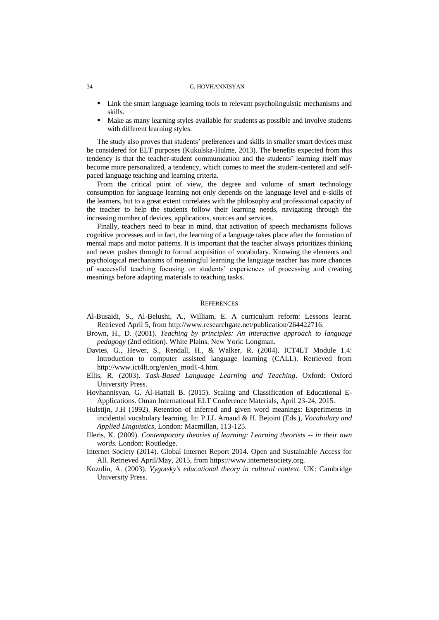- Link the smart language learning tools to relevant psycholinguistic mechanisms and skills.
- Make as many learning styles available for students as possible and involve students with different learning styles.

The study also proves that students' preferences and skills in smaller smart devices must be considered for ELT purposes (Kukulska-Hulme, 2013). The benefits expected from this tendency is that the teacher-student communication and the students" learning itself may become more personalized, a tendency, which comes to meet the student-centered and selfpaced language teaching and learning criteria.

From the critical point of view, the degree and volume of smart technology consumption for language learning not only depends on the language level and e-skills of the learners, but to a great extent correlates with the philosophy and professional capacity of the teacher to help the students follow their learning needs, navigating through the increasing number of devices, applications, sources and services.

Finally, teachers need to bear in mind, that activation of speech mechanisms follows cognitive processes and in fact, the learning of a language takes place after the formation of mental maps and motor patterns. It is important that the teacher always prioritizes thinking and never pushes through to formal acquisition of vocabulary. Knowing the elements and psychological mechanisms of meaningful learning the language teacher has more chances of successful teaching focusing on students" experiences of processing and creating meanings before adapting materials to teaching tasks.

#### **REFERENCES**

- Al-Busaidi, S., Al-Belushi, A., William, E. A curriculum reform: Lessons learnt. Retrieved April 5, from [http://www.researchgate.net/publication/264422716.](http://www.researchgate.net/publication/264422716)
- Brown, H., D. (2001). *Teaching by principles: An interactive approach to language pedagogy* (2nd edition). White Plains, New York: Longman.
- Davies, G., Hewer, S., Rendall, H., & Walker, R. (2004). ICT4LT Module 1.4: Introduction to computer assisted language learning (CALL). Retrieved from [http://www.ict4lt.org/en/en\\_mod1-4.htm.](http://www.ict4lt.org/en/en_mod1-4.htm)
- Ellis, R. (2003). *Task-Based Language Learning and Teaching*. Oxford: Oxford University Press.
- Hovhannisyan, G. Al-Hattali B. (2015). Scaling and Classification of Educational E-Applications. Oman International ELT Conference Materials, April 23-24, 2015.
- Hulstijn, J.H (1992). Retention of inferred and given word meanings: Experiments in incidental vocabulary learning. In: P.J.L Arnaud & H. Bejoint (Eds.), *Vocabulary and Applied Linguistics*, London: Macmillan, 113-125.
- Illeris, K. (2009). *Contemporary theories of learning: Learning theorists -- in their own words.* London: Routledge.
- Internet Society (2014). Global Internet Report 2014. Open and Sustainable Access for All. Retrieved April/May, 2015, from [https://www.internetsociety.org.](https://www.internetsociety.org/)
- Kozulin, A. (2003). *Vygotsky's educational theory in cultural context*. UK: Cambridge University Press.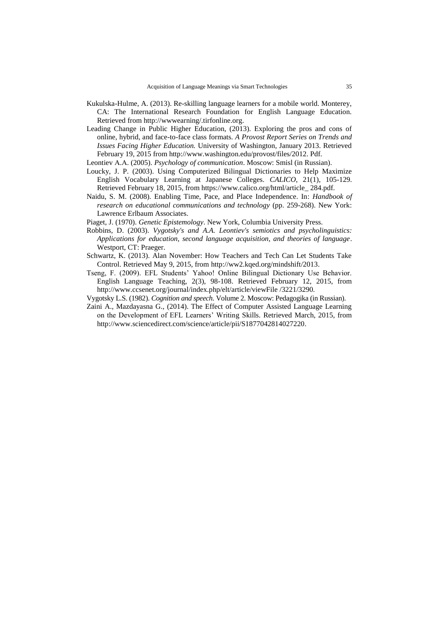- Kukulska-Hulme, A. (2013). Re-skilling language learners for a mobile world. Monterey, CA: The International Research Foundation for English Language Education. Retrieved from [http://wwwearning/.tirfonline.org.](http://wwwearning/.tirfonline.org)
- Leading Change in Public Higher Education, (2013). Exploring the pros and cons of online, hybrid, and face-to-face class formats. *A Provost Report Series on Trends and Issues Facing Higher Education.* University of Washington, January 2013. Retrieved February 19, 2015 from http://www.washington.edu/provost/files/2012. Pdf.

Leontiev А.А. (2005). *Psychology of communication*. Moscow: Smisl (in Russian).

- Loucky, J. P. (2003). Using Computerized Bilingual Dictionaries to Help Maximize English Vocabulary Learning at Japanese Colleges. *CALICO*, 21(1), 105-129. Retrieved February 18, 2015, from https://www.calico.org/html/article\_ 284.pdf.
- Naidu, S. M. (2008). Enabling Time, Pace, and Place Independence. In: *Handbook of research on educational communications and technology* (pp. 259-268). New York: Lawrence Erlbaum Associates.

Piaget, J. (1970). *Genetic Epistemology*. New York, Columbia University Press.

- Robbins, D. (2003). *Vygotsky's and A.A. Leontiev's semiotics and psycholinguistics: Applications for education, second language acquisition, and theories of language*. Westport, CT: Praeger.
- Schwartz, K. (2013). Alan November: How Teachers and Tech Can Let Students Take Control. Retrieved May 9, 2015, from [http://ww2.kqed.org/mindshift/2013.](http://ww2.kqed.org/mindshift/2013)
- Tseng, F. (2009). EFL Students" Yahoo! Online Bilingual Dictionary Use Behavior. English Language Teaching, 2(3), 98-108. Retrieved February 12, 2015, from http://www.ccsenet.org/journal/index.php/elt/article/viewFile /3221/3290.
- Vygotsky L.S. (1982). *Cognition and speech*. Volume 2. Moscow: Pedagogika (in Russian).
- Zaini A., Mazdayasna G., (2014). The Effect of Computer Assisted Language Learning on the Development of EFL Learners' Writing Skills. Retrieved March, 2015, from [http://www.sciencedirect.com/science/article/pii/S1877042814027220.](http://www.sciencedirect.com/science/article/pii/S1877042814027220)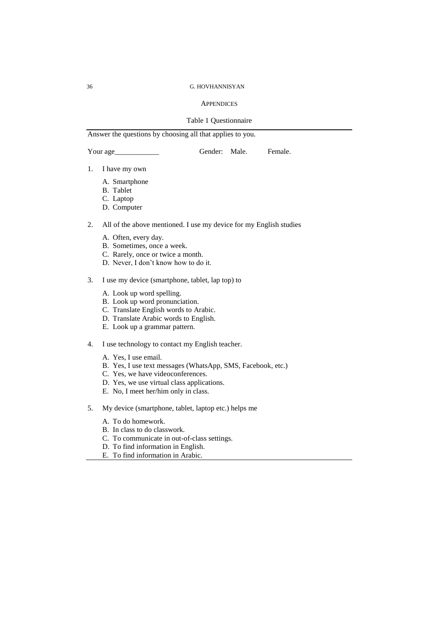### **APPENDICES**

### Table 1 Questionnaire

# Answer the questions by choosing all that applies to you.

Your age\_\_\_\_\_\_\_\_\_\_\_\_ Gender: Male. Female.

- 1. I have my own
	- A. Smartphone
	- B. Tablet
	- C. Laptop
	- D. Computer
- 2. All of the above mentioned. I use my device for my English studies
	- A. Often, every day.
	- B. Sometimes, once a week.
	- C. Rarely, once or twice a month.
	- D. Never, I don"t know how to do it.
- 3. I use my device (smartphone, tablet, lap top) to
	- A. Look up word spelling.
	- B. Look up word pronunciation.
	- C. Translate English words to Arabic.
	- D. Translate Arabic words to English.
	- E. Look up a grammar pattern.
- 4. I use technology to contact my English teacher.
	- A. Yes, I use email.
	- B. Yes, I use text messages (WhatsApp, SMS, Facebook, etc.)
	- C. Yes, we have videoconferences.
	- D. Yes, we use virtual class applications.
	- E. No, I meet her/him only in class.
- 5. My device (smartphone, tablet, laptop etc.) helps me
	- A. To do homework.
	- B. In class to do classwork.
	- C. To communicate in out-of-class settings.
	- D. To find information in English.
	- E. To find information in Arabic.